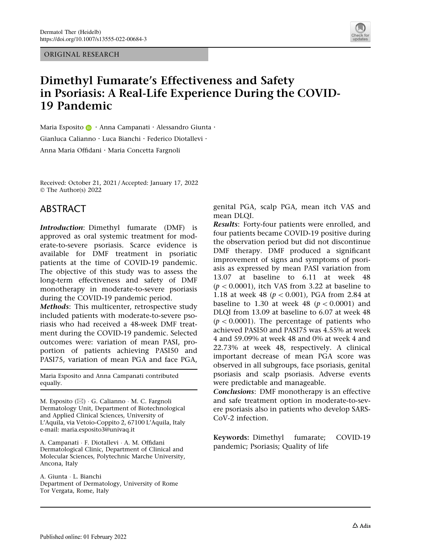ORIGINAL RESEARCH



# Dimethyl Fumarate's Effectiveness and Safety in Psoriasis: A Real-Life Experience During the COVID-19 Pandemic

Maria Esp[o](http://orcid.org/0000-0002-4773-6993)sito **D** · Anna Campanati · Alessandro Giunta · Gianluca Calianno . Luca Bianchi . Federico Diotallevi . Anna Maria Offidani . Maria Concetta Fargnoli

Received: October 21, 2021 / Accepted: January 17, 2022 © The Author(s) 2022

### ABSTRACT

Introduction: Dimethyl fumarate (DMF) is approved as oral systemic treatment for moderate-to-severe psoriasis. Scarce evidence is available for DMF treatment in psoriatic patients at the time of COVID-19 pandemic. The objective of this study was to assess the long-term effectiveness and safety of DMF monotherapy in moderate-to-severe psoriasis during the COVID-19 pandemic period.

Methods: This multicenter, retrospective study included patients with moderate-to-severe psoriasis who had received a 48-week DMF treatment during the COVID-19 pandemic. Selected outcomes were: variation of mean PASI, proportion of patients achieving PASI50 and PASI75, variation of mean PGA and face PGA,

Maria Esposito and Anna Campanati contributed equally.

M. Esposito (&) - G. Calianno - M. C. Fargnoli Dermatology Unit, Department of Biotechnological and Applied Clinical Sciences, University of L'Aquila, via Vetoio-Coppito 2, 67100 L'Aquila, Italy e-mail: maria.esposito3@univaq.it

A. Campanati - F. Diotallevi - A. M. Offidani Dermatological Clinic, Department of Clinical and Molecular Sciences, Polytechnic Marche University, Ancona, Italy

A. Giunta - L. Bianchi Department of Dermatology, University of Rome Tor Vergata, Rome, Italy

genital PGA, scalp PGA, mean itch VAS and mean DLQI.

Results: Forty-four patients were enrolled, and four patients became COVID-19 positive during the observation period but did not discontinue DMF therapy. DMF produced a significant improvement of signs and symptoms of psoriasis as expressed by mean PASI variation from 13.07 at baseline to 6.11 at week 48  $(p < 0.0001)$ , itch VAS from 3.22 at baseline to 1.18 at week 48 ( $p < 0.001$ ), PGA from 2.84 at baseline to 1.30 at week 48 ( $p < 0.0001$ ) and DLQI from 13.09 at baseline to 6.07 at week 48  $(p < 0.0001)$ . The percentage of patients who achieved PASI50 and PASI75 was 4.55% at week 4 and 59.09% at week 48 and 0% at week 4 and 22.73% at week 48, respectively. A clinical important decrease of mean PGA score was observed in all subgroups, face psoriasis, genital psoriasis and scalp psoriasis. Adverse events were predictable and manageable.

Conclusions: DMF monotherapy is an effective and safe treatment option in moderate-to-severe psoriasis also in patients who develop SARS-CoV-2 infection.

Keywords: Dimethyl fumarate; COVID-19 pandemic; Psoriasis; Quality of life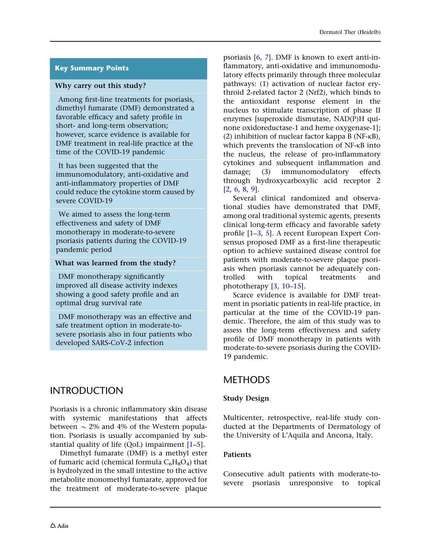### Key Summary Points

#### Why carry out this study?

Among first-line treatments for psoriasis, dimethyl fumarate (DMF) demonstrated a favorable efficacy and safety profile in short- and long-term observation; however, scarce evidence is available for DMF treatment in real-life practice at the time of the COVID-19 pandemic

It has been suggested that the immunomodulatory, anti-oxidative and anti-inflammatory properties of DMF could reduce the cytokine storm caused by severe COVID-19

We aimed to assess the long-term effectiveness and safety of DMF monotherapy in moderate-to-severe psoriasis patients during the COVID-19 pandemic period

#### What was learned from the study?

DMF monotherapy significantly improved all disease activity indexes showing a good safety profile and an optimal drug survival rate

DMF monotherapy was an effective and safe treatment option in moderate-tosevere psoriasis also in four patients who developed SARS-CoV-2 infection

## INTRODUCTION

Psoriasis is a chronic inflammatory skin disease with systemic manifestations that affects between  $\sim$  2% and 4% of the Western population. Psoriasis is usually accompanied by substantial quality of life (QoL) impairment [[1–5](#page-9-0)].

Dimethyl fumarate (DMF) is a methyl ester of fumaric acid (chemical formula  $C_6H_8O_4$ ) that is hydrolyzed in the small intestine to the active metabolite monomethyl fumarate, approved for the treatment of moderate-to-severe plaque

psoriasis [\[6](#page-9-0), [7](#page-9-0)]. DMF is known to exert anti-inflammatory, anti-oxidative and immunomodulatory effects primarily through three molecular pathways: (1) activation of nuclear factor erythroid 2-related factor 2 (Nrf2), which binds to the antioxidant response element in the nucleus to stimulate transcription of phase II enzymes [superoxide dismutase, NAD(P)H quinone oxidoreductase-1 and heme oxygenase-1]; (2) inhibition of nuclear factor kappa B ( $NF$ - $\kappa$ B), which prevents the translocation of  $NF$ - $\kappa$ B into the nucleus, the release of pro-inflammatory cytokines and subsequent inflammation and damage; (3) immunomodulatory effects through hydroxycarboxylic acid receptor 2 [\[2](#page-9-0), [6](#page-9-0), [8](#page-9-0), [9\]](#page-9-0).

Several clinical randomized and observational studies have demonstrated that DMF, among oral traditional systemic agents, presents clinical long-term efficacy and favorable safety profile [[1–3](#page-9-0), [5\]](#page-9-0). A recent European Expert Consensus proposed DMF as a first-line therapeutic option to achieve sustained disease control for patients with moderate-to-severe plaque psoriasis when psoriasis cannot be adequately controlled with topical treatments and phototherapy [[3](#page-9-0), [10](#page-9-0)[–15\]](#page-10-0).

Scarce evidence is available for DMF treatment in psoriatic patients in real-life practice, in particular at the time of the COVID-19 pandemic. Therefore, the aim of this study was to assess the long-term effectiveness and safety profile of DMF monotherapy in patients with moderate-to-severe psoriasis during the COVID-19 pandemic.

## METHODS

### Study Design

Multicenter, retrospective, real-life study conducted at the Departments of Dermatology of the University of L'Aquila and Ancona, Italy.

#### **Patients**

Consecutive adult patients with moderate-tosevere psoriasis unresponsive to topical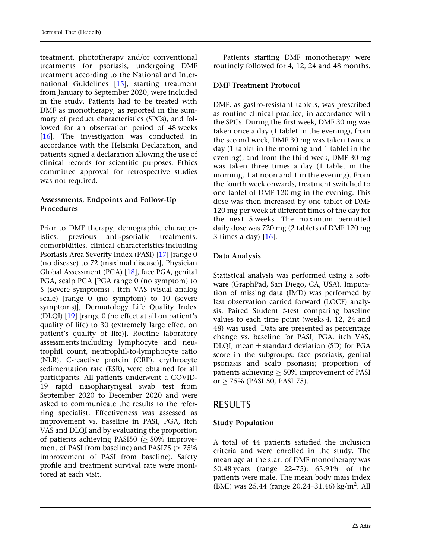treatment, phototherapy and/or conventional treatments for psoriasis, undergoing DMF treatment according to the National and International Guidelines [[15\]](#page-10-0), starting treatment from January to September 2020, were included in the study. Patients had to be treated with DMF as monotherapy, as reported in the summary of product characteristics (SPCs), and followed for an observation period of 48 weeks [\[16](#page-10-0)]. The investigation was conducted in accordance with the Helsinki Declaration, and patients signed a declaration allowing the use of clinical records for scientific purposes. Ethics committee approval for retrospective studies was not required.

#### Assessments, Endpoints and Follow-Up Procedures

Prior to DMF therapy, demographic characteristics, previous anti-psoriatic treatments, comorbidities, clinical characteristics including Psoriasis Area Severity Index (PASI) [\[17\]](#page-10-0) [range 0 (no disease) to 72 (maximal disease)], Physician Global Assessment (PGA) [[18\]](#page-10-0), face PGA, genital PGA, scalp PGA [PGA range 0 (no symptom) to 5 (severe symptoms)], itch VAS (visual analog scale) [range 0 (no symptom) to 10 (severe symptoms)], Dermatology Life Quality Index (DLQI) [[19](#page-10-0)] [range 0 (no effect at all on patient's quality of life) to 30 (extremely large effect on patient's quality of life)]. Routine laboratory assessments including lymphocyte and neutrophil count, neutrophil-to-lymphocyte ratio (NLR), C-reactive protein (CRP), erythrocyte sedimentation rate (ESR), were obtained for all participants. All patients underwent a COVID-19 rapid nasopharyngeal swab test from September 2020 to December 2020 and were asked to communicate the results to the referring specialist. Effectiveness was assessed as improvement vs. baseline in PASI, PGA, itch VAS and DLQI and by evaluating the proportion of patients achieving PASI50 ( $\geq$  50% improvement of PASI from baseline) and PASI75  $($  > 75% improvement of PASI from baseline). Safety profile and treatment survival rate were monitored at each visit.

Patients starting DMF monotherapy were routinely followed for 4, 12, 24 and 48 months.

#### DMF Treatment Protocol

DMF, as gastro-resistant tablets, was prescribed as routine clinical practice, in accordance with the SPCs. During the first week, DMF 30 mg was taken once a day (1 tablet in the evening), from the second week, DMF 30 mg was taken twice a day (1 tablet in the morning and 1 tablet in the evening), and from the third week, DMF 30 mg was taken three times a day (1 tablet in the morning, 1 at noon and 1 in the evening). From the fourth week onwards, treatment switched to one tablet of DMF 120 mg in the evening. This dose was then increased by one tablet of DMF 120 mg per week at different times of the day for the next 5 weeks. The maximum permitted daily dose was 720 mg (2 tablets of DMF 120 mg 3 times a day) [[16](#page-10-0)].

#### Data Analysis

Statistical analysis was performed using a software (GraphPad, San Diego, CA, USA). Imputation of missing data (IMD) was performed by last observation carried forward (LOCF) analysis. Paired Student t-test comparing baseline values to each time point (weeks 4, 12, 24 and 48) was used. Data are presented as percentage change vs. baseline for PASI, PGA, itch VAS, DLQI; mean  $\pm$  standard deviation (SD) for PGA score in the subgroups: face psoriasis, genital psoriasis and scalp psoriasis; proportion of patients achieving  $\geq 50\%$  improvement of PASI or  $\geq$  75% (PASI 50, PASI 75).

### RESULTS

#### Study Population

A total of 44 patients satisfied the inclusion criteria and were enrolled in the study. The mean age at the start of DMF monotherapy was 50.48 years (range 22–75); 65.91% of the patients were male. The mean body mass index (BMI) was 25.44 (range 20.24-31.46) kg/m<sup>2</sup>. All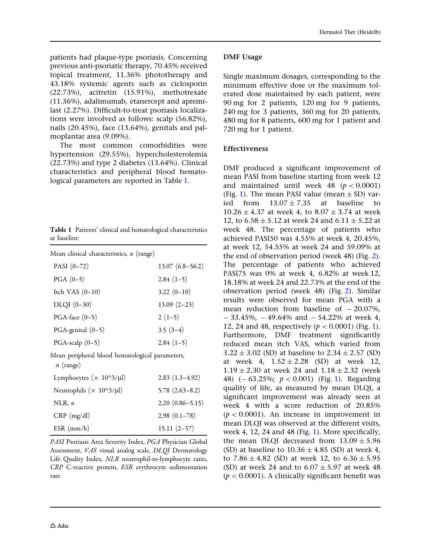patients had plaque-type psoriasis. Concerning previous anti-psoriatic therapy, 70.45% received topical treatment, 11.36% phototherapy and 43.18% systemic agents such as ciclosporin (22.73%), acitretin (15.91%), methotrexate (11.36%), adalimumab, etanercept and apremilast (2.27%). Difficult-to-treat psoriasis localizations were involved as follows: scalp (56.82%), nails (20.45%), face (13.64%), genitals and palmoplantar area (9.09%).

The most common comorbidities were hypertension (29.55%), hypercholesterolemia (22.73%) and type 2 diabetes (13.64%). Clinical characteristics and peripheral blood hematological parameters are reported in Table 1.

|             |  | Table 1 Patients' clinical and hematological characteristics |
|-------------|--|--------------------------------------------------------------|
| at baseline |  |                                                              |

| Mean clinical characteristics, $n$ (range)                     |                     |
|----------------------------------------------------------------|---------------------|
| PASI $(0-72)$                                                  | $13.07(6.8 - 56.2)$ |
| $PGA(0-5)$                                                     | $2.84(1-5)$         |
| Itch VAS $(0-10)$                                              | $3.22(0-10)$        |
| $DLQI(0-30)$                                                   | $13.09(2-23)$       |
| $PGA$ -face $(0-5)$                                            | $2(1-5)$            |
| $PGA$ -genital $(0-5)$                                         | $3.5(3-4)$          |
| PGA-scalp $(0-5)$                                              | $2.84(1-5)$         |
| Mean peripheral blood hematological parameters,<br>$n$ (range) |                     |
|                                                                |                     |

| Lymphocytes ( $\times$ 10^3/µl) | $2.83(1.3-4.92)$     |
|---------------------------------|----------------------|
| Neutrophils ( $\times$ 10^3/µl) | $5.78(2.63 - 8.2)$   |
| NLR, $n$                        | $2,20$ $(0.86-5.15)$ |
| $CRP$ (mg/dl)                   | $2.98(0.1-78)$       |
| $ESR$ (mm/h)                    | $15.11(2-57)$        |

PASI Psoriasis Area Severity Index, PGA Physician Global Assessment, VAS visual analog scale, DLQI Dermatology Life Quality Index, NLR neutrophil-to-lymphocyte ratio, CRP C-reactive protein, ESR erythrocyte sedimentation rate

#### DMF Usage

Single maximum dosages, corresponding to the minimum effective dose or the maximum tolerated dose maintained by each patient, were 90 mg for 2 patients, 120 mg for 9 patients, 240 mg for 3 patients, 360 mg for 20 patients, 480 mg for 8 patients, 600 mg for 1 patient and 720 mg for 1 patient.

#### Effectiveness

DMF produced a significant improvement of mean PASI from baseline starting from week 12 and maintained until week 48 ( $p < 0.0001$ ) (Fig. [1](#page-4-0)). The mean PASI value (mean  $\pm$  SD) varied from  $13.07 \pm 7.35$  at baseline to  $10.26 \pm 4.37$  at week 4, to  $8.07 \pm 3.74$  at week 12, to  $6.58 \pm 5.12$  at week 24 and  $6.11 \pm 5.22$  at week 48. The percentage of patients who achieved PASI50 was 4.55% at week 4, 20.45%, at week 12, 54.55% at week 24 and 59.09% at the end of observation period (week 48) (Fig. [2](#page-4-0)). The percentage of patients who achieved PASI75 was 0% at week 4, 6.82% at week 12, 18.18% at week 24 and 22.73% at the end of the observation period (week 48) (Fig. [2\)](#page-4-0). Similar results were observed for mean PGA with a mean reduction from baseline of  $-20.07\%$ ,  $- 33.45\%$ ,  $- 49.64\%$  and  $- 54.22\%$  at week 4, [1](#page-4-0)2, 24 and 48, respectively ( $p < 0.0001$ ) (Fig. 1). Furthermore, DMF treatment significantly reduced mean itch VAS, which varied from  $3.22 \pm 3.02$  (SD) at baseline to  $2.34 \pm 2.57$  (SD) at week 4,  $1.52 \pm 2.28$  (SD) at week 12,  $1.19 \pm 2.30$  at week 24 and  $1.18 \pm 2.32$  (week 48)  $(-63.25\%; p < 0.001)$  $(-63.25\%; p < 0.001)$  (Fig. 1). Regarding quality of life, as measured by mean DLQI, a significant improvement was already seen at week 4 with a score reduction of 20.85%  $(p < 0.0001)$ . An increase in improvement in mean DLQI was observed at the different visits, week 4, 12, 24 and 48 (Fig. [1](#page-4-0)). More specifically, the mean DLQI decreased from  $13.09 \pm 5.96$ (SD) at baseline to  $10.36 \pm 4.85$  (SD) at week 4, to  $7.86 \pm 4.82$  (SD) at week 12, to  $6.36 \pm 5.95$ (SD) at week 24 and to  $6.07 \pm 5.97$  at week 48  $(p < 0.0001)$ . A clinically significant benefit was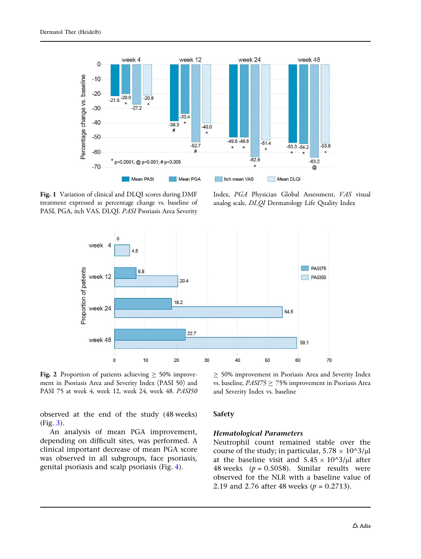<span id="page-4-0"></span>

Fig. 1 Variation of clinical and DLQI scores during DMF treatment expressed as percentage change vs. baseline of PASI, PGA, itch VAS, DLQI. PASI Psoriasis Area Severity

Index, PGA Physician Global Assessment, VAS visual analog scale, DLQI Dermatology Life Quality Index



Fig. 2 Proportion of patients achieving  $\geq$  50% improvement in Psoriasis Area and Severity Index (PASI 50) and PASI 75 at week 4, week 12, week 24, week 48. PASI50

observed at the end of the study (48 weeks) (Fig. [3](#page-5-0)).

An analysis of mean PGA improvement, depending on difficult sites, was performed. A clinical important decrease of mean PGA score was observed in all subgroups, face psoriasis, genital psoriasis and scalp psoriasis (Fig. [4](#page-6-0)).

 $\geq$  50% improvement in Psoriasis Area and Severity Index vs. baseline,  $PASI75 \ge 75\%$  improvement in Psoriasis Area and Severity Index vs. baseline

#### Safety

#### Hematological Parameters

Neutrophil count remained stable over the course of the study; in particular,  $5.78 \times 10^{8}$ jul at the baseline visit and  $5.45 \times 10^{6}$ jul after 48 weeks  $(p = 0.5058)$ . Similar results were observed for the NLR with a baseline value of 2.19 and 2.76 after 48 weeks ( $p = 0.2713$ ).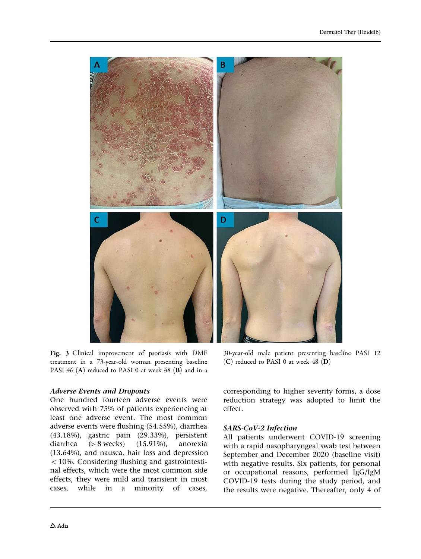<span id="page-5-0"></span>

Fig. 3 Clinical improvement of psoriasis with DMF treatment in a 73-year-old woman presenting baseline PASI 46 (A) reduced to PASI 0 at week 48 (B) and in a

#### Adverse Events and Dropouts

One hundred fourteen adverse events were observed with 75% of patients experiencing at least one adverse event. The most common adverse events were flushing (54.55%), diarrhea (43.18%), gastric pain (29.33%), persistent diarrhea  $(> 8$  weeks)  $(15.91\%)$ , anorexia (13.64%), and nausea, hair loss and depression  $<$  10%. Considering flushing and gastrointestinal effects, which were the most common side effects, they were mild and transient in most cases, while in a minority of cases,

30-year-old male patient presenting baseline PASI 12 (C) reduced to PASI 0 at week 48 (D)

corresponding to higher severity forms, a dose reduction strategy was adopted to limit the effect.

#### SARS-CoV-2 Infection

All patients underwent COVID-19 screening with a rapid nasopharyngeal swab test between September and December 2020 (baseline visit) with negative results. Six patients, for personal or occupational reasons, performed IgG/IgM COVID-19 tests during the study period, and the results were negative. Thereafter, only 4 of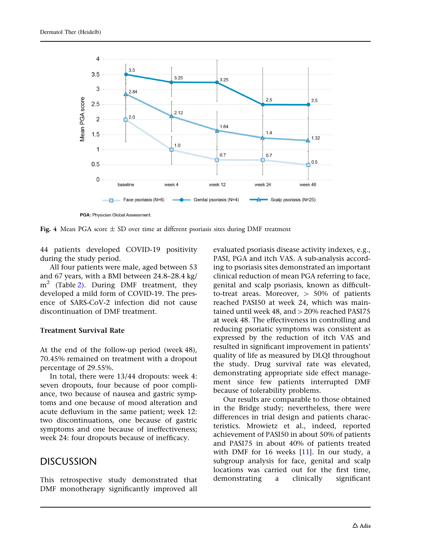<span id="page-6-0"></span>

PGA: Physician Global Assessment.

Fig. 4 Mean PGA score  $\pm$  SD over time at different psoriasis sites during DMF treatment

44 patients developed COVID-19 positivity during the study period.

All four patients were male, aged between 53 and 67 years, with a BMI between 24.8–28.4 kg/  $m<sup>2</sup>$  $m<sup>2</sup>$  $m<sup>2</sup>$  (Table 2). During DMF treatment, they developed a mild form of COVID-19. The presence of SARS-CoV-2 infection did not cause discontinuation of DMF treatment.

#### Treatment Survival Rate

At the end of the follow-up period (week 48), 70.45% remained on treatment with a dropout percentage of 29.55%.

In total, there were 13/44 dropouts: week 4: seven dropouts, four because of poor compliance, two because of nausea and gastric symptoms and one because of mood alteration and acute defluvium in the same patient; week 12: two discontinuations, one because of gastric symptoms and one because of ineffectiveness; week 24: four dropouts because of inefficacy.

### DISCUSSION

This retrospective study demonstrated that DMF monotherapy significantly improved all evaluated psoriasis disease activity indexes, e.g., PASI, PGA and itch VAS. A sub-analysis according to psoriasis sites demonstrated an important clinical reduction of mean PGA referring to face, genital and scalp psoriasis, known as difficultto-treat areas. Moreover,  $> 50\%$  of patients reached PASI50 at week 24, which was maintained until week 48, and  $>$  20% reached PASI75 at week 48. The effectiveness in controlling and reducing psoriatic symptoms was consistent as expressed by the reduction of itch VAS and resulted in significant improvement in patients' quality of life as measured by DLQI throughout the study. Drug survival rate was elevated, demonstrating appropriate side effect management since few patients interrupted DMF because of tolerability problems.

Our results are comparable to those obtained in the Bridge study; nevertheless, there were differences in trial design and patients characteristics. Mrowietz et al., indeed, reported achievement of PASI50 in about 50% of patients and PASI75 in about 40% of patients treated with DMF for 16 weeks  $[11]$  $[11]$  $[11]$ . In our study, a subgroup analysis for face, genital and scalp locations was carried out for the first time, demonstrating a clinically significant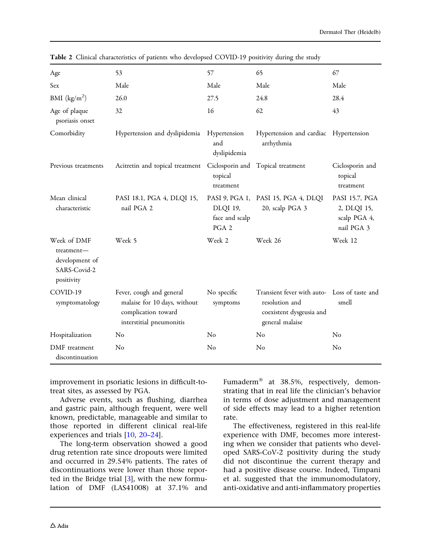| Age                                                                       | 53                                                                                                          | 57                                  | 65                                                                                                            | 67                                                          |
|---------------------------------------------------------------------------|-------------------------------------------------------------------------------------------------------------|-------------------------------------|---------------------------------------------------------------------------------------------------------------|-------------------------------------------------------------|
| Sex                                                                       | Male                                                                                                        | Male                                | Male                                                                                                          | Male                                                        |
| BMI $(kg/m^2)$                                                            | 26.0                                                                                                        | 27.5                                | 24.8                                                                                                          | 28.4                                                        |
| Age of plaque<br>psoriasis onset                                          | 32                                                                                                          | 16                                  | 62                                                                                                            | 43                                                          |
| Comorbidity                                                               | Hypertension and dyslipidemia                                                                               | Hypertension<br>and<br>dyslipidemia | Hypertension and cardiac Hypertension<br>arrhythmia                                                           |                                                             |
| Previous treatments                                                       | Acitretin and topical treatment                                                                             | topical<br>treatment                | Ciclosporin and Topical treatment                                                                             | Ciclosporin and<br>topical<br>treatment                     |
| Mean clinical<br>characteristic                                           | PASI 18.1, PGA 4, DLQI 15,<br>nail PGA 2                                                                    | DLQI 19,<br>face and scalp<br>PGA 2 | PASI 9, PGA 1, PASI 15, PGA 4, DLQI<br>20, scalp PGA 3                                                        | PASI 15.7, PGA<br>2, DLQI 15,<br>scalp PGA 4,<br>nail PGA 3 |
| Week of DMF<br>treatment-<br>development of<br>SARS-Covid-2<br>positivity | Week 5                                                                                                      | Week 2                              | Week 26                                                                                                       | Week 12                                                     |
| COVID-19<br>symptomatology                                                | Fever, cough and general<br>malaise for 10 days, without<br>complication toward<br>interstitial pneumonitis | No specific<br>symptoms             | Transient fever with auto- Loss of taste and<br>resolution and<br>coexistent dysgeusia and<br>general malaise | smell                                                       |
| Hospitalization                                                           | No                                                                                                          | No                                  | No                                                                                                            | No                                                          |
| DMF treatment<br>discontinuation                                          | No                                                                                                          | No                                  | N <sub>o</sub>                                                                                                | No                                                          |

<span id="page-7-0"></span>Table 2 Clinical characteristics of patients who developsed COVID-19 positivity during the study

improvement in psoriatic lesions in difficult-totreat sites, as assessed by PGA.

Adverse events, such as flushing, diarrhea and gastric pain, although frequent, were well known, predictable, manageable and similar to those reported in different clinical real-life experiences and trials [[10](#page-9-0), [20–24\]](#page-10-0).

The long-term observation showed a good drug retention rate since dropouts were limited and occurred in 29.54% patients. The rates of discontinuations were lower than those reported in the Bridge trial [[3](#page-9-0)], with the new formulation of DMF (LAS41008) at 37.1% and

Fumaderm<sup>®</sup> at 38.5%, respectively, demonstrating that in real life the clinician's behavior in terms of dose adjustment and management of side effects may lead to a higher retention rate.

The effectiveness, registered in this real-life experience with DMF, becomes more interesting when we consider that patients who developed SARS-CoV-2 positivity during the study did not discontinue the current therapy and had a positive disease course. Indeed, Timpani et al. suggested that the immunomodulatory, anti-oxidative and anti-inflammatory properties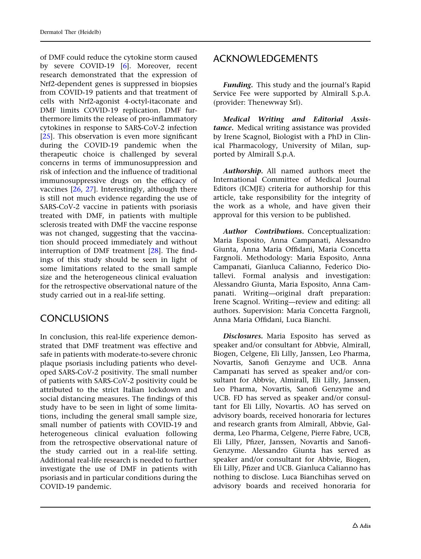of DMF could reduce the cytokine storm caused by severe COVID-19 [[6\]](#page-9-0). Moreover, recent research demonstrated that the expression of Nrf2-dependent genes is suppressed in biopsies from COVID-19 patients and that treatment of cells with Nrf2-agonist 4-octyl-itaconate and DMF limits COVID-19 replication. DMF furthermore limits the release of pro-inflammatory cytokines in response to SARS-CoV-2 infection [\[25](#page-10-0)]. This observation is even more significant during the COVID-19 pandemic when the therapeutic choice is challenged by several concerns in terms of immunosuppression and risk of infection and the influence of traditional immunosuppressive drugs on the efficacy of vaccines [[26](#page-10-0), [27\]](#page-10-0). Interestingly, although there is still not much evidence regarding the use of SARS-CoV-2 vaccine in patients with psoriasis treated with DMF, in patients with multiple sclerosis treated with DMF the vaccine response was not changed, suggesting that the vaccination should proceed immediately and without interruption of DMF treatment [\[28\]](#page-10-0). The findings of this study should be seen in light of some limitations related to the small sample size and the heterogeneous clinical evaluation for the retrospective observational nature of the study carried out in a real-life setting.

## **CONCLUSIONS**

In conclusion, this real-life experience demonstrated that DMF treatment was effective and safe in patients with moderate-to-severe chronic plaque psoriasis including patients who developed SARS-CoV-2 positivity. The small number of patients with SARS-CoV-2 positivity could be attributed to the strict Italian lockdown and social distancing measures. The findings of this study have to be seen in light of some limitations, including the general small sample size, small number of patients with COVID-19 and heterogeneous clinical evaluation following from the retrospective observational nature of the study carried out in a real-life setting. Additional real-life research is needed to further investigate the use of DMF in patients with psoriasis and in particular conditions during the COVID-19 pandemic.

## ACKNOWLEDGEMENTS

Funding. This study and the journal's Rapid Service Fee were supported by Almirall S.p.A. (provider: Thenewway Srl).

Medical Writing and Editorial Assistance. Medical writing assistance was provided by Irene Scagnol, Biologist with a PhD in Clinical Pharmacology, University of Milan, supported by Almirall S.p.A.

Authorship. All named authors meet the International Committee of Medical Journal Editors (ICMJE) criteria for authorship for this article, take responsibility for the integrity of the work as a whole, and have given their approval for this version to be published.

Author Contributions. Conceptualization: Maria Esposito, Anna Campanati, Alessandro Giunta, Anna Maria Offidani, Maria Concetta Fargnoli. Methodology: Maria Esposito, Anna Campanati, Gianluca Calianno, Federico Diotallevi. Formal analysis and investigation: Alessandro Giunta, Maria Esposito, Anna Campanati. Writing—original draft preparation: Irene Scagnol. Writing—review and editing: all authors. Supervision: Maria Concetta Fargnoli, Anna Maria Offidani, Luca Bianchi.

Disclosures. Maria Esposito has served as speaker and/or consultant for Abbvie, Almirall, Biogen, Celgene, Eli Lilly, Janssen, Leo Pharma, Novartis, Sanofi Genzyme and UCB. Anna Campanati has served as speaker and/or consultant for Abbvie, Almirall, Eli Lilly, Janssen, Leo Pharma, Novartis, Sanofi Genzyme and UCB. FD has served as speaker and/or consultant for Eli Lilly, Novartis. AO has served on advisory boards, received honoraria for lectures and research grants from Almirall, Abbvie, Galderma, Leo Pharma, Celgene, Pierre Fabre, UCB, Eli Lilly, Pfizer, Janssen, Novartis and Sanofi-Genzyme. Alessandro Giunta has served as speaker and/or consultant for Abbvie, Biogen, Eli Lilly, Pfizer and UCB. Gianluca Calianno has nothing to disclose. Luca Bianchihas served on advisory boards and received honoraria for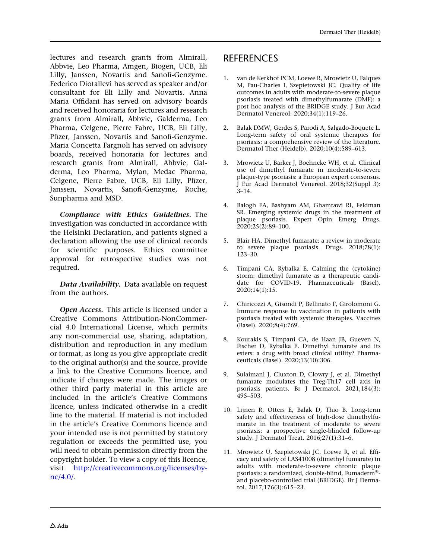<span id="page-9-0"></span>lectures and research grants from Almirall, Abbvie, Leo Pharma, Amgen, Biogen, UCB, Eli Lilly, Janssen, Novartis and Sanofi-Genzyme. Federico Diotallevi has served as speaker and/or consultant for Eli Lilly and Novartis. Anna Maria Offidani has served on advisory boards and received honoraria for lectures and research grants from Almirall, Abbvie, Galderma, Leo Pharma, Celgene, Pierre Fabre, UCB, Eli Lilly, Pfizer, Janssen, Novartis and Sanofi-Genzyme. Maria Concetta Fargnoli has served on advisory boards, received honoraria for lectures and research grants from Almirall, Abbvie, Galderma, Leo Pharma, Mylan, Medac Pharma, Celgene, Pierre Fabre, UCB, Eli Lilly, Pfizer, Janssen, Novartis, Sanofi-Genzyme, Roche, Sunpharma and MSD.

Compliance with Ethics Guidelines. The investigation was conducted in accordance with the Helsinki Declaration, and patients signed a declaration allowing the use of clinical records for scientific purposes. Ethics committee approval for retrospective studies was not required.

Data Availability. Data available on request from the authors.

**Open Access.** This article is licensed under a Creative Commons Attribution-NonCommercial 4.0 International License, which permits any non-commercial use, sharing, adaptation, distribution and reproduction in any medium or format, as long as you give appropriate credit to the original author(s) and the source, provide a link to the Creative Commons licence, and indicate if changes were made. The images or other third party material in this article are included in the article's Creative Commons licence, unless indicated otherwise in a credit line to the material. If material is not included in the article's Creative Commons licence and your intended use is not permitted by statutory regulation or exceeds the permitted use, you will need to obtain permission directly from the copyright holder. To view a copy of this licence, visit [http://creativecommons.org/licenses/by](http://creativecommons.org/licenses/by-nc/4.0/)[nc/4.0/](http://creativecommons.org/licenses/by-nc/4.0/).

# **REFERENCES**

- 1. van de Kerkhof PCM, Loewe R, Mrowietz U, Falques M, Pau-Charles I, Szepietowski JC. Quality of life outcomes in adults with moderate-to-severe plaque psoriasis treated with dimethylfumarate (DMF): a post hoc analysis of the BRIDGE study. J Eur Acad Dermatol Venereol. 2020;34(1):119–26.
- 2. Balak DMW, Gerdes S, Parodi A, Salgado-Boquete L. Long-term safety of oral systemic therapies for psoriasis: a comprehensive review of the literature. Dermatol Ther (Heidelb). 2020;10(4):589–613.
- 3. Mrowietz U, Barker J, Boehncke WH, et al. Clinical use of dimethyl fumarate in moderate-to-severe plaque-type psoriasis: a European expert consensus. J Eur Acad Dermatol Venereol. 2018;32(Suppl 3): 3–14.
- 4. Balogh EA, Bashyam AM, Ghamrawi RI, Feldman SR. Emerging systemic drugs in the treatment of plaque psoriasis. Expert Opin Emerg Drugs.  $2020;25(2):89-100.$
- 5. Blair HA. Dimethyl fumarate: a review in moderate to severe plaque psoriasis. Drugs. 2018;78(1): 123–30.
- 6. Timpani CA, Rybalka E. Calming the (cytokine) storm: dimethyl fumarate as a therapeutic candidate for COVID-19. Pharmaceuticals (Basel). 2020;14(1):15.
- 7. Chiricozzi A, Gisondi P, Bellinato F, Girolomoni G. Immune response to vaccination in patients with psoriasis treated with systemic therapies. Vaccines (Basel). 2020;8(4):769.
- 8. Kourakis S, Timpani CA, de Haan JB, Gueven N, Fischer D, Rybalka E. Dimethyl fumarate and its esters: a drug with broad clinical utility? Pharmaceuticals (Basel). 2020;13(10):306.
- 9. Sulaimani J, Cluxton D, Clowry J, et al. Dimethyl fumarate modulates the Treg-Th17 cell axis in psoriasis patients. Br J Dermatol. 2021;184(3): 495–503.
- 10. Lijnen R, Otters E, Balak D, Thio B. Long-term safety and effectiveness of high-dose dimethylfumarate in the treatment of moderate to severe psoriasis: a prospective single-blinded follow-up study. J Dermatol Treat. 2016;27(1):31–6.
- 11. Mrowietz U, Szepietowski JC, Loewe R, et al. Efficacy and safety of LAS41008 (dimethyl fumarate) in adults with moderate-to-severe chronic plaque psoriasis: a randomized, double-blind, Fumaderm<sup>®</sup>and placebo-controlled trial (BRIDGE). Br J Dermatol. 2017;176(3):615–23.